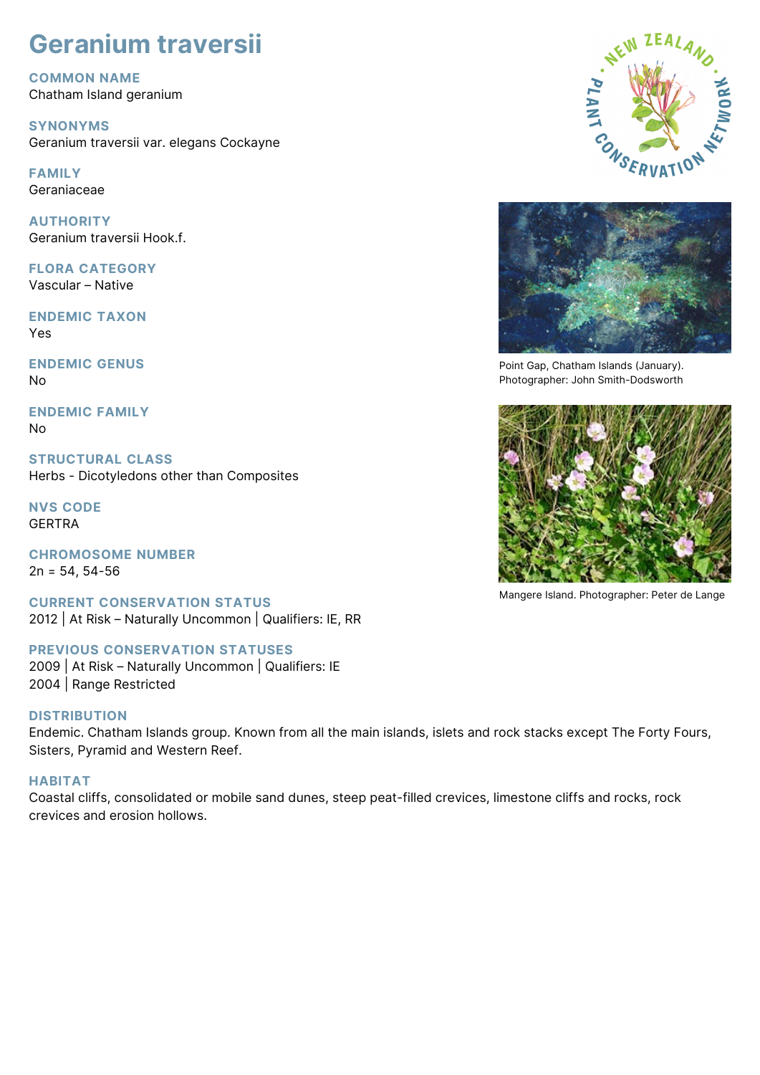# **Geranium traversii**

**COMMON NAME** Chatham Island geranium

**SYNONYMS** Geranium traversii var. elegans Cockayne

**FAMILY** Geraniaceae

**AUTHORITY** Geranium traversii Hook.f.

**FLORA CATEGORY** Vascular – Native

**ENDEMIC TAXON** Yes

**ENDEMIC GENUS** No

**ENDEMIC FAMILY** No

**STRUCTURAL CLASS** Herbs - Dicotyledons other than Composites

**NVS CODE** GERTRA

**CHROMOSOME NUMBER**  $2n = 54, 54-56$ 

**CURRENT CONSERVATION STATUS** 2012 | At Risk – Naturally Uncommon | Qualifiers: IE, RR

## **PREVIOUS CONSERVATION STATUSES**

2009 | At Risk – Naturally Uncommon | Qualifiers: IE 2004 | Range Restricted

## **DISTRIBUTION**

Endemic. Chatham Islands group. Known from all the main islands, islets and rock stacks except The Forty Fours, Sisters, Pyramid and Western Reef.

## **HABITAT**

Coastal cliffs, consolidated or mobile sand dunes, steep peat-filled crevices, limestone cliffs and rocks, rock crevices and erosion hollows.





Point Gap, Chatham Islands (January). Photographer: John Smith-Dodsworth



Mangere Island. Photographer: Peter de Lange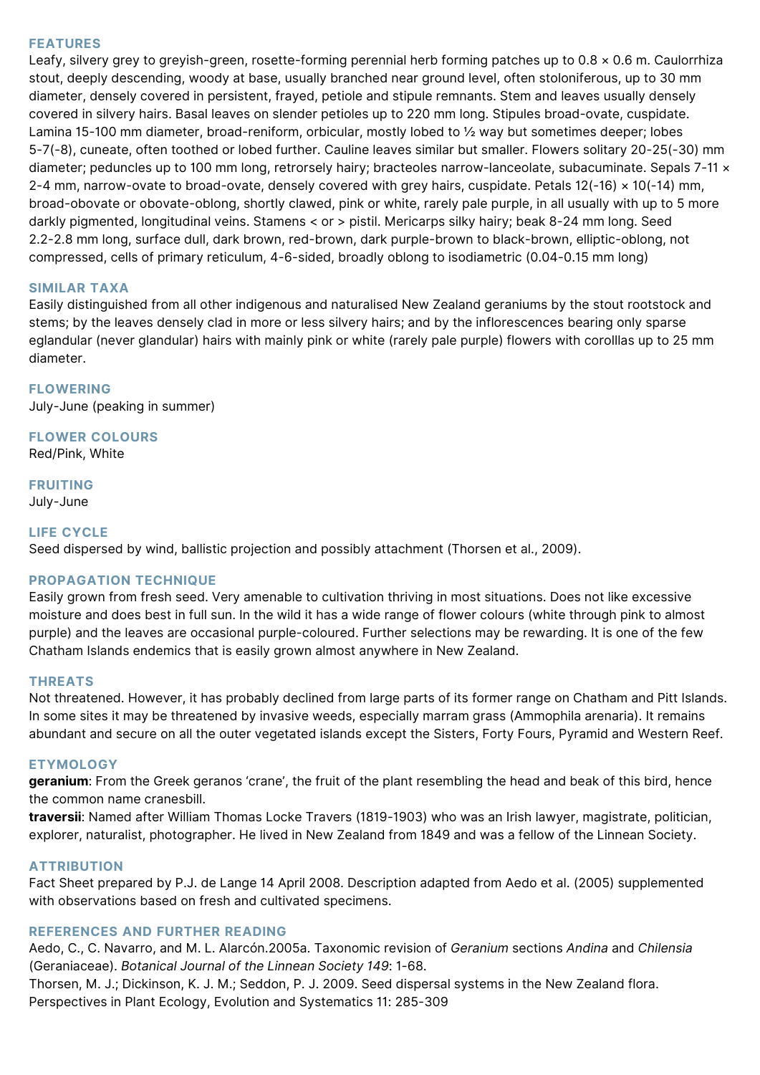#### **FEATURES**

Leafy, silvery grey to greyish-green, rosette-forming perennial herb forming patches up to 0.8 × 0.6 m. Caulorrhiza stout, deeply descending, woody at base, usually branched near ground level, often stoloniferous, up to 30 mm diameter, densely covered in persistent, frayed, petiole and stipule remnants. Stem and leaves usually densely covered in silvery hairs. Basal leaves on slender petioles up to 220 mm long. Stipules broad-ovate, cuspidate. Lamina 15-100 mm diameter, broad-reniform, orbicular, mostly lobed to ½ way but sometimes deeper; lobes 5-7(-8), cuneate, often toothed or lobed further. Cauline leaves similar but smaller. Flowers solitary 20-25(-30) mm diameter; peduncles up to 100 mm long, retrorsely hairy; bracteoles narrow-lanceolate, subacuminate. Sepals 7-11 x 2-4 mm, narrow-ovate to broad-ovate, densely covered with grey hairs, cuspidate. Petals 12(-16) × 10(-14) mm, broad-obovate or obovate-oblong, shortly clawed, pink or white, rarely pale purple, in all usually with up to 5 more darkly pigmented, longitudinal veins. Stamens < or > pistil. Mericarps silky hairy; beak 8-24 mm long. Seed 2.2-2.8 mm long, surface dull, dark brown, red-brown, dark purple-brown to black-brown, elliptic-oblong, not compressed, cells of primary reticulum, 4-6-sided, broadly oblong to isodiametric (0.04-0.15 mm long)

#### **SIMILAR TAXA**

Easily distinguished from all other indigenous and naturalised New Zealand geraniums by the stout rootstock and stems; by the leaves densely clad in more or less silvery hairs; and by the inflorescences bearing only sparse eglandular (never glandular) hairs with mainly pink or white (rarely pale purple) flowers with corolllas up to 25 mm diameter.

**FLOWERING** July-June (peaking in summer)

**FLOWER COLOURS** Red/Pink, White

**FRUITING**

July-June

#### **LIFE CYCLE**

Seed dispersed by wind, ballistic projection and possibly attachment (Thorsen et al., 2009).

#### **PROPAGATION TECHNIQUE**

Easily grown from fresh seed. Very amenable to cultivation thriving in most situations. Does not like excessive moisture and does best in full sun. In the wild it has a wide range of flower colours (white through pink to almost purple) and the leaves are occasional purple-coloured. Further selections may be rewarding. It is one of the few Chatham Islands endemics that is easily grown almost anywhere in New Zealand.

#### **THREATS**

Not threatened. However, it has probably declined from large parts of its former range on Chatham and Pitt Islands. In some sites it may be threatened by invasive weeds, especially marram grass (Ammophila arenaria). It remains abundant and secure on all the outer vegetated islands except the Sisters, Forty Fours, Pyramid and Western Reef.

#### **ETYMOLOGY**

**geranium**: From the Greek geranos 'crane', the fruit of the plant resembling the head and beak of this bird, hence the common name cranesbill.

**traversii**: Named after William Thomas Locke Travers (1819-1903) who was an Irish lawyer, magistrate, politician, explorer, naturalist, photographer. He lived in New Zealand from 1849 and was a fellow of the Linnean Society.

#### **ATTRIBUTION**

Fact Sheet prepared by P.J. de Lange 14 April 2008. Description adapted from Aedo et al. (2005) supplemented with observations based on fresh and cultivated specimens.

#### **REFERENCES AND FURTHER READING**

Aedo, C., C. Navarro, and M. L. Alarcón.2005a. Taxonomic revision of *Geranium* sections *Andina* and *Chilensia* (Geraniaceae). *Botanical Journal of the Linnean Society 149*: 1-68.

Thorsen, M. J.; Dickinson, K. J. M.; Seddon, P. J. 2009. Seed dispersal systems in the New Zealand flora. Perspectives in Plant Ecology, Evolution and Systematics 11: 285-309